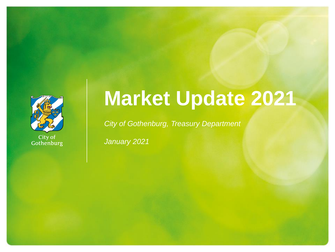

City of<br>Gothenburg

# **Market Update 2021**

*City of Gothenburg, Treasury Department*

*January 2021*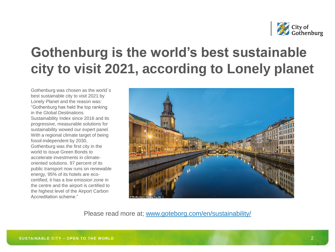

## **Gothenburg is the world's best sustainable city to visit 2021, according to Lonely planet**

Gothenburg was chosen as the world´s best sustainable city to visit 2021 by Lonely Planet and the reason was: "Gothenburg has held the top ranking in the Global Destinations Sustainability Index since 2016 and its progressive, measurable solutions for sustainability wowed our expert panel. With a regional climate target of being fossil-independent by 2030, Gothenburg was the first city in the world to issue Green Bonds to accelerate investments in climateoriented solutions. 97 percent of its public transport now runs on renewable energy, 95% of its hotels are ecocertified, it has a low emission zone in the centre and the airport is certified to the highest level of the Airport Carbon Accreditation scheme."



Please read more at; [www.goteborg.com/en/sustainability/](https://www.goteborg.com/en/sustainability/)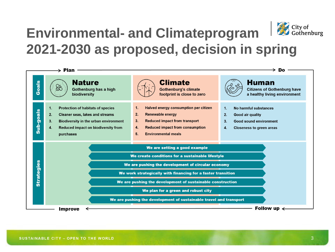

## **Environmental- and Climateprogram 2021-2030 as proposed, decision in spring**

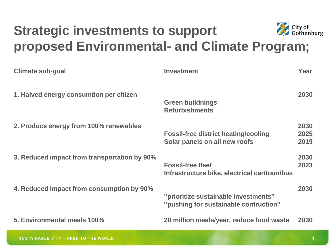

## **Strategic investments to support proposed Environmental- and Climate Program;**

| <b>Climate sub-goal</b>                      | <b>Investment</b>                                                             | Year                 |
|----------------------------------------------|-------------------------------------------------------------------------------|----------------------|
| 1. Halved energy consumtion per citizen      | <b>Green buildnings</b><br><b>Refurbishments</b>                              | 2030                 |
| 2. Produce energy from 100% renewables       | <b>Fossil-free district heating/cooling</b><br>Solar panels on all new roofs  | 2030<br>2025<br>2019 |
| 3. Reduced impact from transportation by 90% | <b>Fossil-free fleet</b><br>Infrastructure bike, electrical car/tram/bus      | 2030<br>2023         |
| 4. Reduced impact from consumption by 90%    | "prioritize sustainable investments"<br>"pushing for sustainable contruction" | 2030                 |
| 5. Environmental meals 100%                  | 20 million meals/year, reduce food waste                                      | 2030                 |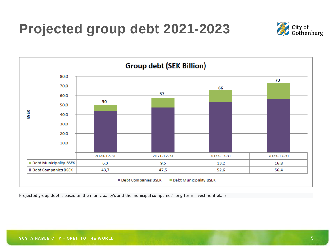**Projected group debt 2021-2023**





Projected group debt is based on the municipality's and the municipal companies' long-term investment plans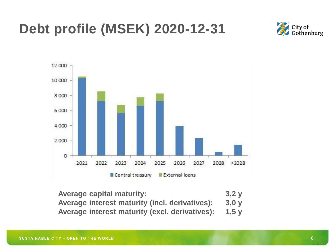## **Debt profile (MSEK) 2020-12-31**





| <b>Average capital maturity:</b>                     | 3,2y |
|------------------------------------------------------|------|
| Average interest maturity (incl. derivatives):       | 3,0y |
| Average interest maturity (excl. derivatives): 1,5 y |      |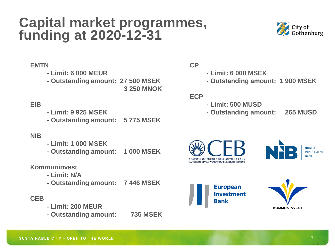## **Capital market programmes, funding at 2020-12-31**



#### **EMTN**

**- Limit: 6 000 MEUR**

**- Outstanding amount: 27 500 MSEK**

**3 250 MNOK**

### **EIB**

- **- Limit: 9 925 MSEK**
- **- Outstanding amount: 5 775 MSEK**

#### **NIB**

- **- Limit: 1 000 MSEK**
- **- Outstanding amount: 1 000 MSEK**

#### **Kommuninvest**

- **- Limit: N/A**
- **- Outstanding amount: 7 446 MSEK**

#### **CEB**

- **- Limit: 200 MEUR**
- **- Outstanding amount: 735 MSEK**

#### **CP**

- **- Limit: 6 000 MSEK**
- **- Outstanding amount: 1 900 MSEK**

#### **ECP**

- **- Limit: 500 MUSD**
- **- Outstanding amount: 265 MUSD**







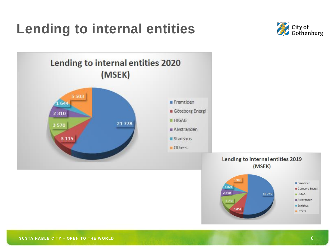## **Lending to internal entities**



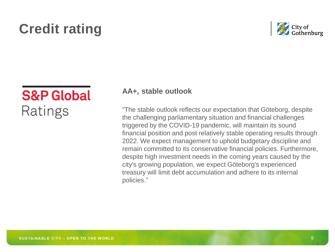## **Credit rating**



## **S&P Global** Ratings

### **AA+, stable outlook**

"The stable outlook reflects our expectation that Göteborg, despite the challenging parliamentary situation and financial challenges triggered by the COVID-19 pandemic, will maintain its sound financial position and post relatively stable operating results through 2022. We expect management to uphold budgetary discipline and remain committed to its conservative financial policies. Furthermore, despite high investment needs in the coming years caused by the city's growing population, we expect Göteborg's experienced treasury will limit debt accumulation and adhere to its internal policies."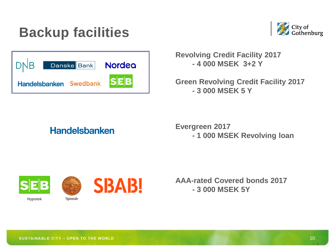## **Backup facilities**



| DNB                    | Danske Bank | Nordea     |
|------------------------|-------------|------------|
| Handelsbanken Swedbank |             | <b>SEB</b> |

**Revolving Credit Facility 2017 - 4 000 MSEK 3+2 Y**

**Green Revolving Credit Facility 2017 - 3 000 MSEK 5 Y**

## **Handelsbanken**

**Evergreen 2017 - 1 000 MSEK Revolving loan**



**Hypotek**



Spintab



**AAA-rated Covered bonds 2017 - 3 000 MSEK 5Y**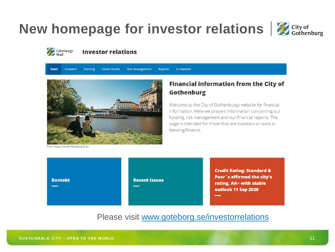## **New homepage for investor relations**  $\mathcal{L}_{\text{Cothenburg}}$





#### **Investor relations**

**Risk Management Start Contacts Funding Green Bonds Reports** In Swedish



### **Financial information from the City of Gothenburg**

Welcome to the City of Gothenburgs website for financial information. Here we present information concerning our funding, risk management and our financial reports. The page is intended for those that are investors or work in banking/finance.

Foto: Happy Visuals/Göteborg & Co.



Please visit [www.goteborg.se/investorrelations](http://www.goteborg.se/investorrelations)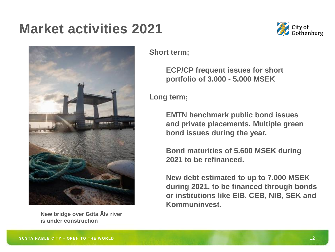## **Market activities 2021**



**New bridge over Göta Älv river is under construction**



### **Short term;**

**ECP/CP frequent issues for short portfolio of 3.000 - 5.000 MSEK**

**Long term;**

**EMTN benchmark public bond issues and private placements. Multiple green bond issues during the year.**

**Bond maturities of 5.600 MSEK during 2021 to be refinanced.** 

**New debt estimated to up to 7.000 MSEK during 2021, to be financed through bonds or institutions like EIB, CEB, NIB, SEK and Kommuninvest.**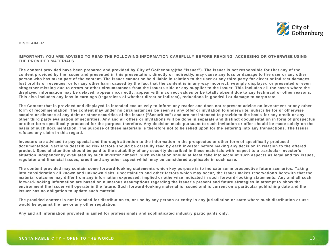

#### **DISCLAIMER**

#### **IMPORTANT: YOU ARE ADVISED TO READ THE FOLLOWING INFORMATION CAREFULLY BEFORE READING, ACCESSING OR OTHERWISE USING THE PROVIDED MATERIALS**

**The content provided have been prepared and provided by City of Gothenburg(the "Issuer"). The Issuer is not responsible for t hat any of the content provided by the Issuer and presented in this presentation, directly or indirectly, may cause any loss or damage to th e user or any other person who has taken part of the content. The issuer cannot be held liable in relation to the user or any third party for dir ect or indirect damages,**  lost profits or revenues, or for any other harm caused by the fact that the content is in any way incorrect, wrongly displayed or presented or even altogether missing due to errors or other circumstances from the Issuers side or any supplier to the Issuer. This includes all the cases where the **displayed information may be delayed, appear incorrectly, appear with incorrect values or be totally absent due to any techni cal or other reasons. This also includes any loss in earnings (regardless of whether direct or indirect), reductions in goodwill or damage to corpo rate.**

**The Content that is provided and displayed is intended exclusively to inform any reader and does not represent advice on inve stment or any other form of recommendation. The content may under no circumstances be seen as any offer or invitation to underwrite, subscribe for or otherwise acquire or dispose of any debt or other securities of the Issuer ("Securities") and are not intended to provide to the basis for any credit or any other third party evaluation of securities. Any and all offers or invitations will be done in separate and distinct documentation in form of prospectus or other form specifically produced for the purpose therefore. Any decision made pursuant to such invitation or offer should be made solely on the basis of such documentation. The purpose of these materials is therefore not to be relied upon for the entering into any transactions. The Issuer refuses any claim in this regard.** 

**Investors are advised to pay special and thorough attention to the information in the prospectus or other form of specificall y produced documentation. Sections describing risk factors should be carefully read by each investor before making any decision in relat ion to the offered product. Special attention should be paid to the suitability of any security described in these materials with respect to a p articular investor's situation independently evaluated by such investor himself. Such evaluation should at least take into account such aspects as legal and tax issues, regulator and financial issues, credit and any other aspect which may be considered applicable in such case.** 

**The content provided may contain some forward-looking statements which key purpose is to indicate some prospective future scenarios. Taking into consideration all known and unknown risks, uncertainties and other factors which may occur, the Issuer makes reservation s herewith that the material outcome may differ from any information expressed, implied or otherwise indicated in such forward -looking statements. Any and all such forward-looking information are based on numerous assumptions regarding the Issuer's present and future strategies in attempt to show the environment the Issuer will operate in the future. Such forward-looking material is issued and is current on a particular publishing date and the Issuer has no obligation to update such material.** 

**The provided content is not intended for distribution to, or use by any person or entity in any jurisdiction or state where such distribution or use would be against the law or any other regulation.**

**Any and all information provided is aimed for professionals and sophisticated industry participants only.**